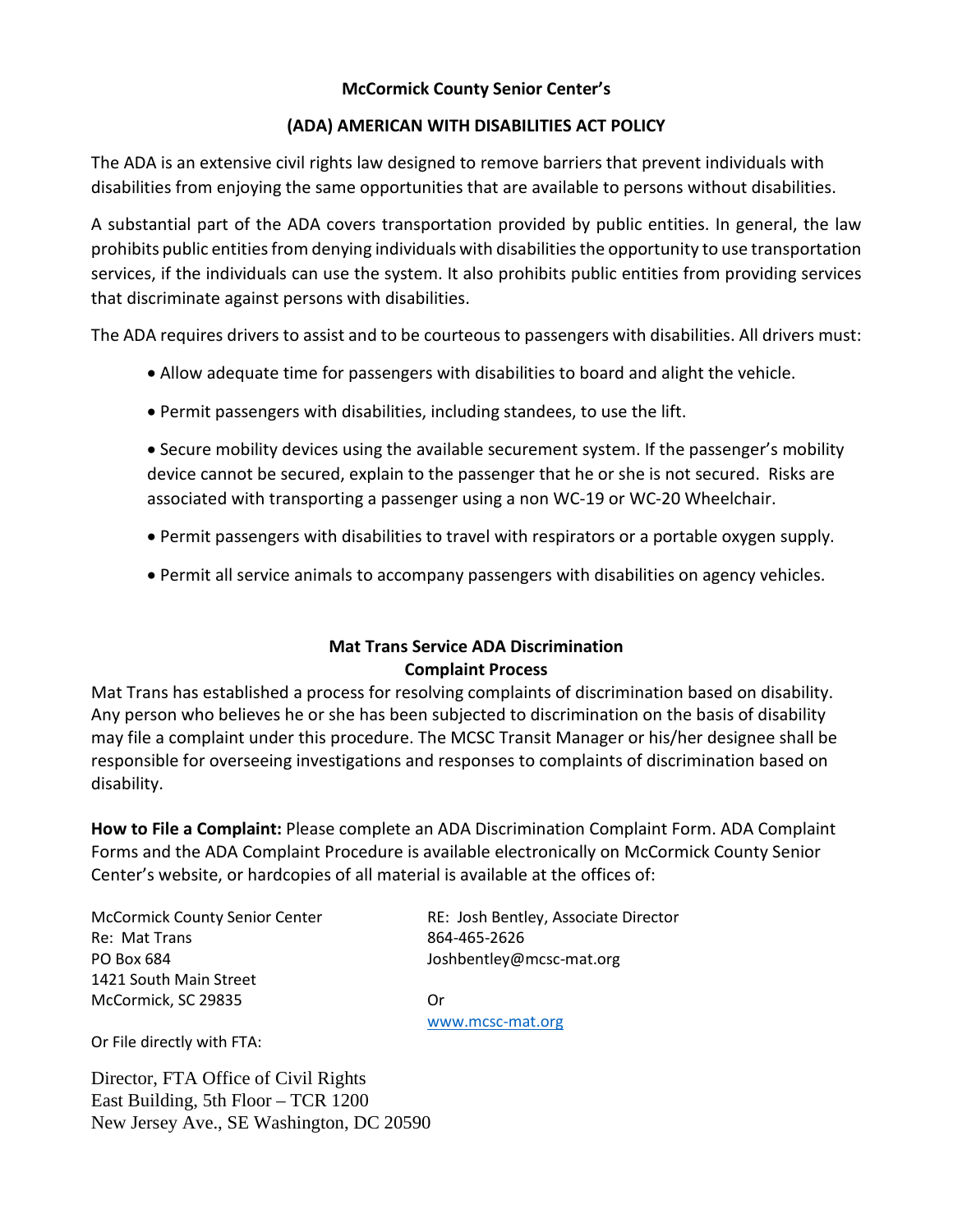# **McCormick County Senior Center's**

## **(ADA) AMERICAN WITH DISABILITIES ACT POLICY**

The ADA is an extensive civil rights law designed to remove barriers that prevent individuals with disabilities from enjoying the same opportunities that are available to persons without disabilities.

A substantial part of the ADA covers transportation provided by public entities. In general, the law prohibits public entities from denying individuals with disabilities the opportunity to use transportation services, if the individuals can use the system. It also prohibits public entities from providing services that discriminate against persons with disabilities.

The ADA requires drivers to assist and to be courteous to passengers with disabilities. All drivers must:

- Allow adequate time for passengers with disabilities to board and alight the vehicle.
- Permit passengers with disabilities, including standees, to use the lift.
- Secure mobility devices using the available securement system. If the passenger's mobility device cannot be secured, explain to the passenger that he or she is not secured. Risks are associated with transporting a passenger using a non WC-19 or WC-20 Wheelchair.
- Permit passengers with disabilities to travel with respirators or a portable oxygen supply.
- Permit all service animals to accompany passengers with disabilities on agency vehicles.

# **Mat Trans Service ADA Discrimination Complaint Process**

Mat Trans has established a process for resolving complaints of discrimination based on disability. Any person who believes he or she has been subjected to discrimination on the basis of disability may file a complaint under this procedure. The MCSC Transit Manager or his/her designee shall be responsible for overseeing investigations and responses to complaints of discrimination based on disability.

**How to File a Complaint:** Please complete an ADA Discrimination Complaint Form. ADA Complaint Forms and the ADA Complaint Procedure is available electronically on McCormick County Senior Center's website, or hardcopies of all material is available at the offices of:

Re: Mat Trans 864-465-2626 PO Box 684 Joshbentley@mcsc-mat.org 1421 South Main Street McCormick, SC 29835 Or

McCormick County Senior Center RE: Josh Bentley, Associate Director

[www.mcsc-mat.org](http://www.mcsc-mat.org/)

Or File directly with FTA:

Director, FTA Office of Civil Rights East Building, 5th Floor – TCR 1200 New Jersey Ave., SE Washington, DC 20590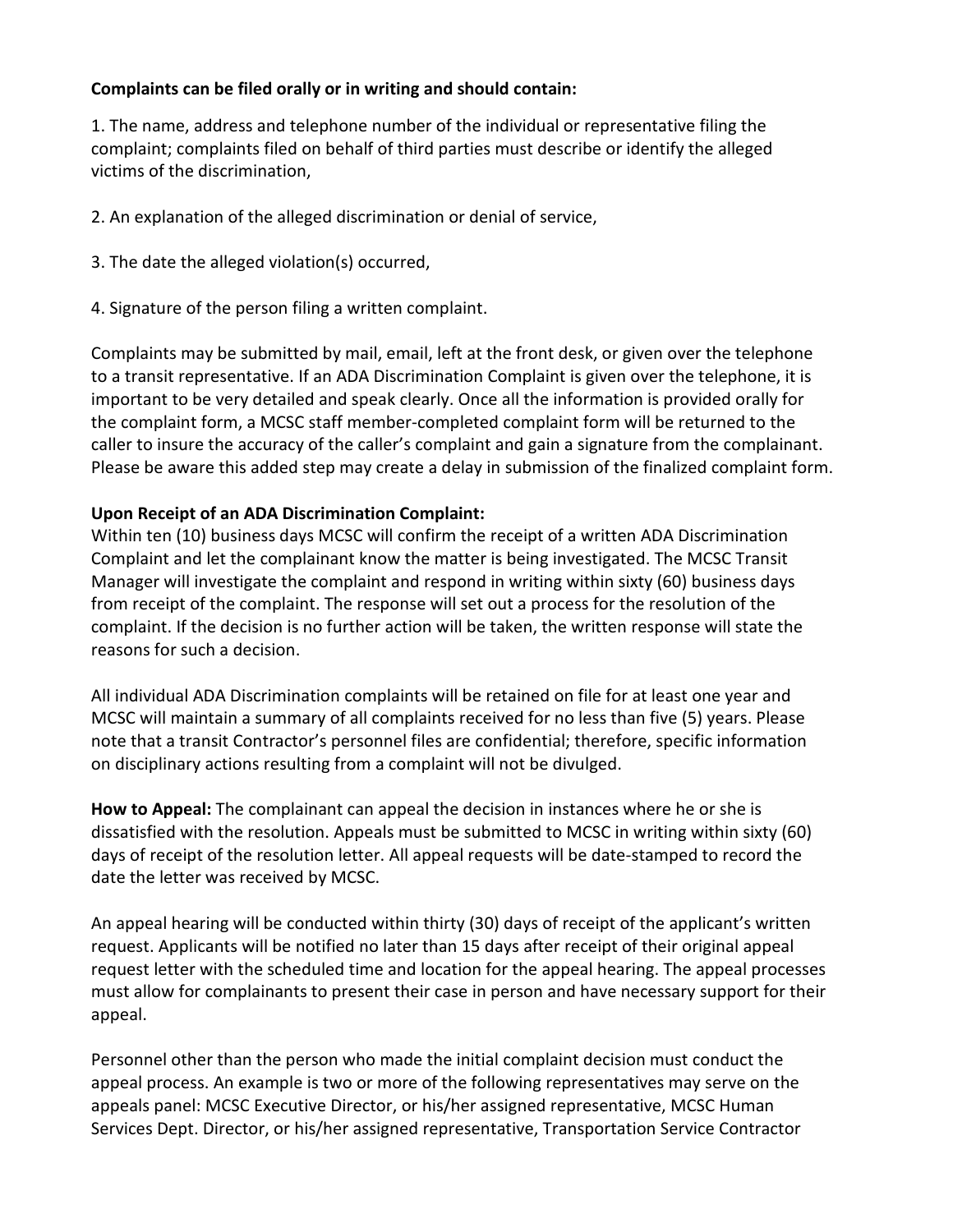## **Complaints can be filed orally or in writing and should contain:**

1. The name, address and telephone number of the individual or representative filing the complaint; complaints filed on behalf of third parties must describe or identify the alleged victims of the discrimination,

2. An explanation of the alleged discrimination or denial of service,

- 3. The date the alleged violation(s) occurred,
- 4. Signature of the person filing a written complaint.

Complaints may be submitted by mail, email, left at the front desk, or given over the telephone to a transit representative. If an ADA Discrimination Complaint is given over the telephone, it is important to be very detailed and speak clearly. Once all the information is provided orally for the complaint form, a MCSC staff member-completed complaint form will be returned to the caller to insure the accuracy of the caller's complaint and gain a signature from the complainant. Please be aware this added step may create a delay in submission of the finalized complaint form.

### **Upon Receipt of an ADA Discrimination Complaint:**

Within ten (10) business days MCSC will confirm the receipt of a written ADA Discrimination Complaint and let the complainant know the matter is being investigated. The MCSC Transit Manager will investigate the complaint and respond in writing within sixty (60) business days from receipt of the complaint. The response will set out a process for the resolution of the complaint. If the decision is no further action will be taken, the written response will state the reasons for such a decision.

All individual ADA Discrimination complaints will be retained on file for at least one year and MCSC will maintain a summary of all complaints received for no less than five (5) years. Please note that a transit Contractor's personnel files are confidential; therefore, specific information on disciplinary actions resulting from a complaint will not be divulged.

**How to Appeal:** The complainant can appeal the decision in instances where he or she is dissatisfied with the resolution. Appeals must be submitted to MCSC in writing within sixty (60) days of receipt of the resolution letter. All appeal requests will be date-stamped to record the date the letter was received by MCSC.

An appeal hearing will be conducted within thirty (30) days of receipt of the applicant's written request. Applicants will be notified no later than 15 days after receipt of their original appeal request letter with the scheduled time and location for the appeal hearing. The appeal processes must allow for complainants to present their case in person and have necessary support for their appeal.

Personnel other than the person who made the initial complaint decision must conduct the appeal process. An example is two or more of the following representatives may serve on the appeals panel: MCSC Executive Director, or his/her assigned representative, MCSC Human Services Dept. Director, or his/her assigned representative, Transportation Service Contractor